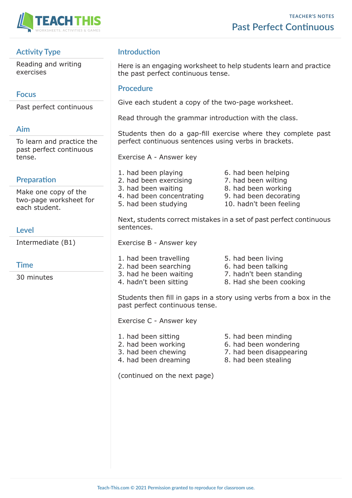

### **Activity Type**

Reading and writing exercises

### **Focus**

Past perfect continuous

### **Aim**

To learn and practice the past perfect continuous tense.

### **Preparation**

Make one copy of the two-page worksheet for each student.

### **Level**

Intermediate (B1)

### **Time**

30 minutes

## **Introduction**

Here is an engaging worksheet to help students learn and practice the past perfect continuous tense.

#### **Procedure**

Give each student a copy of the two-page worksheet.

Read through the grammar introduction with the class.

Students then do a gap-fill exercise where they complete past perfect continuous sentences using verbs in brackets.

Exercise A - Answer key

- 1. had been playing 6. had been helping 2. had been exercising 7. had been wilting 3. had been waiting 8. had been working 4. had been concentrating 9. had been decorating 5. had been studying 10. hadn't been feeling
	-

Next, students correct mistakes in a set of past perfect continuous sentences.

Exercise B - Answer key

- 1. had been travelling 5. had been living 2. had been searching 6. had been talking
- 
- 3. had he been waiting 7. hadn't been standing
- 4. hadn't been sitting 8. Had she been cooking

Students then fill in gaps in a story using verbs from a box in the past perfect continuous tense.

Exercise C - Answer key

- 
- 2. had been working 6. had been wondering
- 3. had been chewing 7. had been disappearing
- 4. had been dreaming 8. had been stealing

(continued on the next page)

- 1. had been sitting Theory 5. had been minding
	-
	-
	-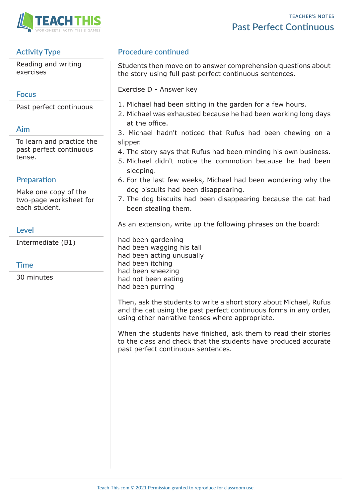

# **Activity Type**

Reading and writing exercises

# **Focus**

Past perfect continuous

# **Aim**

To learn and practice the past perfect continuous tense.

# **Preparation**

Make one copy of the two-page worksheet for each student.

## **Level**

Intermediate (B1)

| ٧ | ٠ |
|---|---|
|   | × |

30 minutes

# **Procedure continued**

Students then move on to answer comprehension questions about the story using full past perfect continuous sentences.

Exercise D - Answer key

- 1. Michael had been sitting in the garden for a few hours.
- 2. Michael was exhausted because he had been working long days at the office.
- 3. Michael hadn't noticed that Rufus had been chewing on a slipper.
- 4. The story says that Rufus had been minding his own business.
- 5. Michael didn't notice the commotion because he had been sleeping.
- 6. For the last few weeks, Michael had been wondering why the dog biscuits had been disappearing.
- 7. The dog biscuits had been disappearing because the cat had been stealing them.

As an extension, write up the following phrases on the board:

had been gardening had been wagging his tail had been acting unusually had been itching had been sneezing had not been eating had been purring

Then, ask the students to write a short story about Michael, Rufus and the cat using the past perfect continuous forms in any order, using other narrative tenses where appropriate.

When the students have finished, ask them to read their stories to the class and check that the students have produced accurate past perfect continuous sentences.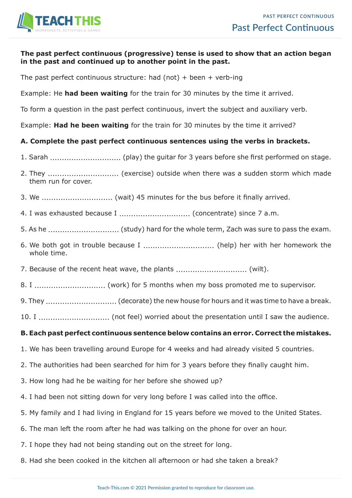

#### **The past perfect continuous (progressive) tense is used to show that an action began in the past and continued up to another point in the past.**

The past perfect continuous structure: had (not) + been + verb-ing

Example: He **had been waiting** for the train for 30 minutes by the time it arrived.

To form a question in the past perfect continuous, invert the subject and auxiliary verb.

Example: **Had he been waiting** for the train for 30 minutes by the time it arrived?

#### **A. Complete the past perfect continuous sentences using the verbs in brackets.**

- 1. Sarah .............................. (play) the guitar for 3 years before she first performed on stage.
- 2. They .............................. (exercise) outside when there was a sudden storm which made them run for cover.
- 3. We .............................. (wait) 45 minutes for the bus before it finally arrived.
- 4. I was exhausted because I .............................. (concentrate) since 7 a.m.
- 5. As he .............................. (study) hard for the whole term, Zach was sure to pass the exam.
- 6. We both got in trouble because I .............................. (help) her with her homework the whole time.
- 7. Because of the recent heat wave, the plants .............................. (wilt).
- 8. I .............................. (work) for 5 months when my boss promoted me to supervisor.
- 9. They ................................... (decorate) the new house for hours and it was time to have a break.
- 10. I .............................. (not feel) worried about the presentation until I saw the audience.

#### **B. Each past perfect continuous sentence below contains an error. Correct the mistakes.**

- 1. We has been travelling around Europe for 4 weeks and had already visited 5 countries.
- 2. The authorities had been searched for him for 3 years before they finally caught him.
- 3. How long had he be waiting for her before she showed up?
- 4. I had been not sitting down for very long before I was called into the office.
- 5. My family and I had living in England for 15 years before we moved to the United States.
- 6. The man left the room after he had was talking on the phone for over an hour.
- 7. I hope they had not being standing out on the street for long.
- 8. Had she been cooked in the kitchen all afternoon or had she taken a break?